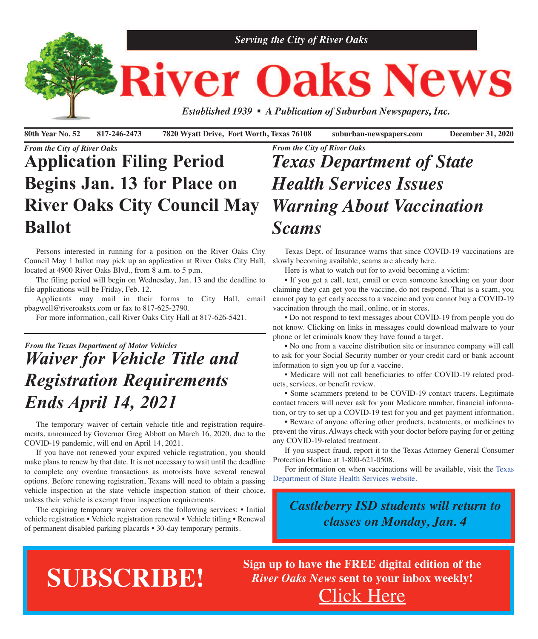

80th Year No. 52 817-246-2473 7820 Wyatt Drive, Fort Worth, Texas 76108 suburban-newspapers.com December 31, 2020

#### *From the City of River Oaks*

## **Application Filing Period Begins Jan. 13 for Place on River Oaks City Council May Ballot**

 Persons interested in running for a position on the River Oaks City Council May 1 ballot may pick up an application at River Oaks City Hall, located at 4900 River Oaks Blvd., from 8 a.m. to 5 p.m.

 The filing period will begin on Wednesday, Jan. 13 and the deadline to file applications will be Friday, Feb. 12.

 Applicants may mail in their forms to City Hall, email pbagwell@riveroakstx.com or fax to 817-625-2790.

For more information, call River Oaks City Hall at 817-626-5421.

## *From the Texas Department of Motor Vehicles Waiver for Vehicle Title and Registration Requirements Ends April 14, 2021*

 The temporary waiver of certain vehicle title and registration requirements, announced by Governor Greg Abbott on March 16, 2020, due to the COVID-19 pandemic, will end on April 14, 2021.

 If you have not renewed your expired vehicle registration, you should make plans to renew by that date. It is not necessary to wait until the deadline to complete any overdue transactions as motorists have several renewal options. Before renewing registration, Texans will need to obtain a passing vehicle inspection at the state vehicle inspection station of their choice, unless their vehicle is exempt from inspection requirements.

 The expiring temporary waiver covers the following services: • Initial vehicle registration • Vehicle registration renewal • Vehicle titling • Renewal of permanent disabled parking placards • 30-day temporary permits.

## *From the City of River Oaks Texas Department of State Health Services Issues Warning About Vaccination Scams*

 Texas Dept. of Insurance warns that since COVID-19 vaccinations are slowly becoming available, scams are already here.

Here is what to watch out for to avoid becoming a victim:

 • If you get a call, text, email or even someone knocking on your door claiming they can get you the vaccine, do not respond. That is a scam, you cannot pay to get early access to a vaccine and you cannot buy a COVID-19 vaccination through the mail, online, or in stores.

 • Do not respond to text messages about COVID-19 from people you do not know. Clicking on links in messages could download malware to your phone or let criminals know they have found a target.

 • No one from a vaccine distribution site or insurance company will call to ask for your Social Security number or your credit card or bank account information to sign you up for a vaccine.

 • Medicare will not call beneficiaries to offer COVID-19 related products, services, or benefit review.

 • Some scammers pretend to be COVID-19 contact tracers. Legitimate contact tracers will never ask for your Medicare number, financial information, or try to set up a COVID-19 test for you and get payment information.

 • Beware of anyone offering other products, treatments, or medicines to prevent the virus. Always check with your doctor before paying for or getting any COVID-19-related treatment.

 If you suspect fraud, report it to the Texas Attorney General Consumer Protection Hotline at 1-800-621-0508.

 For information on when vaccinations will be available, visit the [Texas](https://www.dshs.texas.gov) [Department](https://www.dshs.texas.gov) of State Health Services website.

## *Castleberry ISD students will return to classes on Monday, Jan. 4*

## **SUBSCRIBE!**

**Sign up to have the FREE digital edition of the** *River Oaks News* **sent to your inbox weekly!** [Click](http://eepurl.com/g3m8OX) Here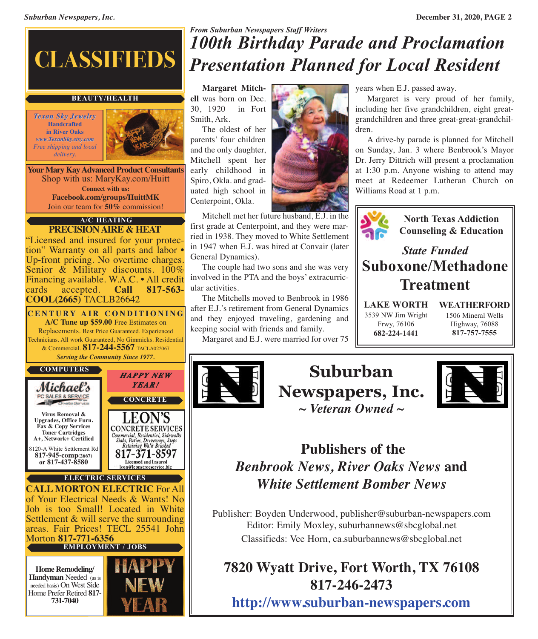# **CLASSIFIEDS**

#### **BEAUTY/HEALTH**

*Texan Sky Jewelry* **Handcrafted in River Oaks** *www.TexanSky.etsy.com Free shipping and local delivery.*



**Your Mary Kay Advanced Product Consultants** Shop with us: MaryKay.com/Huitt **Connect with us: Facebook.com/groups/HuittMK** Join our team for **50%** commission!

### **A/C HEATING**

**PRECISIONAIRE & HEAT** "Licensed and insured for your protec- tion" Warranty on all parts and labor • Up-front pricing. No overtime charges. Senior & Military discounts. 100% Financing available. W.A.C. • All credit cards accepted. **Call 817-563**cards accepted. **Call 817-563- COOL(2665)** TACLB26642

**C E N T U R Y A I R C O N D I T I O N I N G A/C Tune up \$59.00** Free Estimates on Replacements. Best Price Guaranteed. Experienced Technicians. All work Guaranteed, No Gimmicks. Residential & Commercial. **817-244-5567** TACLA022067 *Serving the Community Since 1977.*

#### **COMPUTERS**



## *From Suburban Newspapers Staff Writers 100th Birthday Parade and Proclamation Presentation Planned for Local Resident*

 **Margaret Mitchell** was born on Dec. 30, 1920 in Fort Smith, Ark.

 The oldest of her parents' four children and the only daughter, Mitchell spent her early childhood in Spiro, Okla. and graduated high school in Centerpoint, Okla.



 Mitchell met her future husband, E.J. in the first grade at Centerpoint, and they were married in 1938. They moved to White Settlement in 1947 when E.J. was hired at Convair (later General Dynamics).

 The couple had two sons and she was very involved in the PTA and the boys' extracurricular activities.

 The Mitchells moved to Benbrook in 1986 after E.J.'s retirement from General Dynamics and they enjoyed traveling, gardening and keeping social with friends and family.

Margaret and E.J. were married for over 75

years when E.J. passed away.

 Margaret is very proud of her family, including her five grandchildren, eight greatgrandchildren and three great-great-grandchildren.

 A drive-by parade is planned for Mitchell on Sunday, Jan. 3 where Benbrook's Mayor Dr. Jerry Dittrich will present a proclamation at 1:30 p.m. Anyone wishing to attend may meet at Redeemer Lutheran Church on Williams Road at 1 p.m.



**North Texas Addiction Counseling & Education**

## *State Funded* **Suboxone/Methadone Treatment**

**LAKE WORTH** 3539 NW Jim Wright Frwy, 76106 **682-224-1441**

**WEATHERFORD** 1506 Mineral Wells Highway, 76088 **817-757-7555**





## **Publishers of the** *Benbrook News, River Oaks News* **and** *White Settlement Bomber News*

Publisher: Boyden Underwood, publisher@suburban-newspapers.com Editor: Emily Moxley, suburbannews@sbcglobal.net Classifieds: Vee Horn, ca.suburbannews@sbcglobal.net

## **7820 Wyatt Drive, Fort Worth, TX 76108 817-246-2473**

**<http://www.suburban-newspapers.com>**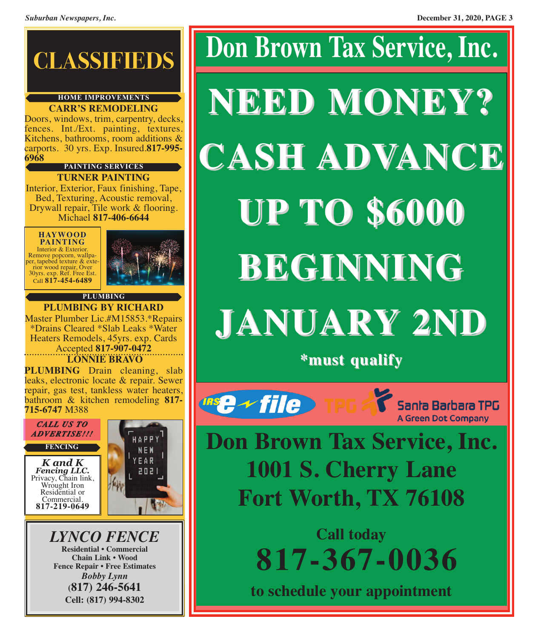

#### **CARR'S REMODELING HOME IMPROVEMENTS**

Doors, windows, trim, carpentry, decks, fences. Int./Ext. painting, textures. Kitchens, bathrooms, room additions & carports. <sup>30</sup> yrs. Exp. Insured.**817-995- <sup>6968</sup>**

#### **PAINTING SERVICES**

**TURNER PAINTING** Interior, Exterior, Faux finishing, Tape,<br>Bed, Texturing, Acoustic removal,<br>Drywall repair, Tile work & flooring.<br>Michael **817-406-6644** 

#### **HAYWOOD**

**PAINTING** Interior & Exterior.<br>Remove popcorn, wallpa-<br>per, tapebed texture & exte-30yrs. exp. Ref. Free Est. Call **817-454-6489**



#### **PLUMBING**

**PLUMBING BY RICHARD** Master Plumber Lic.#M15853.\*Repairs \*Drains Cleared \*Slab Leaks \*Water Heaters Remodels, 45yrs. exp. Cards Accepted **817-907-0472 LONNIE BRAVO**

**PLUMBING** Drain cleaning, slab leaks, electronic locate & repair. Sewer repair, gas test, tankless water heaters, bathroom & kitchen remodeling **817- 715-6747** M388



*LYNCO FENCE* **Residential • Commercial Chain Link • Wood Fence Repair • Free Estimates** *Bobby Lynn* **(817) 246-5641 Cell: (817) 994-8302**



**\*must qualify**

 $\sim$  file

Santa Barbara TPG **A Green Dot Company** 

**Don Brown Tax Service, Inc. 1001 S. Cherry Lane Fort Worth, TX 76108**

> **Call today 817-367-0036**

**to schedule your appointment**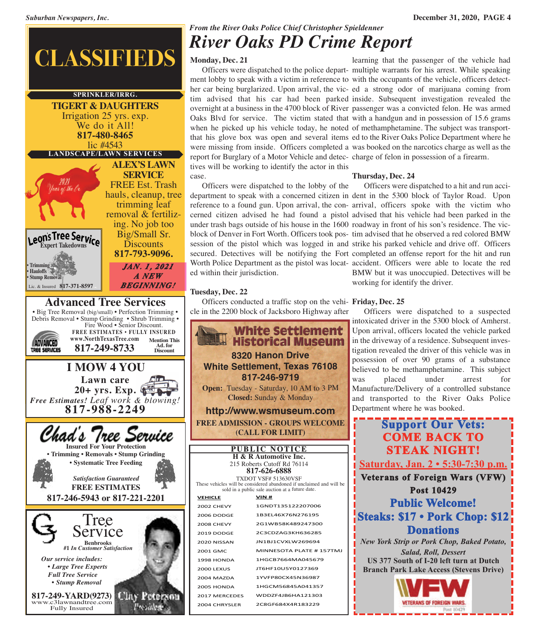## *From the River Oaks Police Chief Christopher Spieldenner River Oaks PD Crime Report*

**Monday, Dec. 21**

report for Burglary of a Motor Vehicle and detec-charge of felon in possession of a firearm. tives will be working to identify the actor in this case.

 Officers were dispatched to the police depart-multiple warrants for his arrest. While speaking ment lobby to speak with a victim in reference to with the occupants of the vehicle, officers detecther car being burglarized. Upon arrival, the vic-ed a strong odor of marijuana coming from tim advised that his car had been parked inside. Subsequent investigation revealed the overnight at a business in the 4700 block of River passenger was a convicted felon. He was armed Oaks Blvd for service. The victim stated that with a handgun and in possession of 15.6 grams when he picked up his vehicle today, he noted of methamphetamine. The subject was transportthat his glove box was open and several items ed to the River Oaks Police Department where he were missing from inside. Officers completed a was booked on the narcotics charge as well as the learning that the passenger of the vehicle had

#### **Thursday, Dec. 24**

 Officers were dispatched to the lobby of the department to speak with a concerned citizen in dent in the 5300 block of Taylor Road. Upon reference to a found gun. Upon arrival, the con-arrival, officers spoke with the victim who cerned citizen advised he had found a pistol advised that his vehicle had been parked in the under trash bags outside of his house in the 1600 roadway in front of his son's residence. The vicblock of Denver in Fort Worth. Officers took pos-tim advised that he observed a red colored BMW session of the pistol which was logged in and strike his parked vehicle and drive off. Officers secured. Detectives will be notifying the Fort completed an offense report for the hit and run Worth Police Department as the pistol was locat-accident. Officers were able to locate the red Officers were dispatched to a hit and run acci-BMW but it was unoccupied. Detectives will be working for identify the driver.

#### **Tuesday, Dec. 22**

ed within their jurisdiction.

 Officers conducted a traffic stop on the vehi-**Friday, Dec. 25** cle in the 2200 block of Jacksboro Highway after



 Officers were dispatched to a suspected intoxicated driver in the 5300 block of Amherst. Upon arrival, officers located the vehicle parked in the driveway of a residence. Subsequent investigation revealed the driver of this vehicle was in possession of over 90 grams of a substance believed to be methamphetamine. This subject was placed under arrest for Manufacture/Delivery of a controlled substance and transported to the River Oaks Police



# **CLASSIFIEDS**





Fully Insured